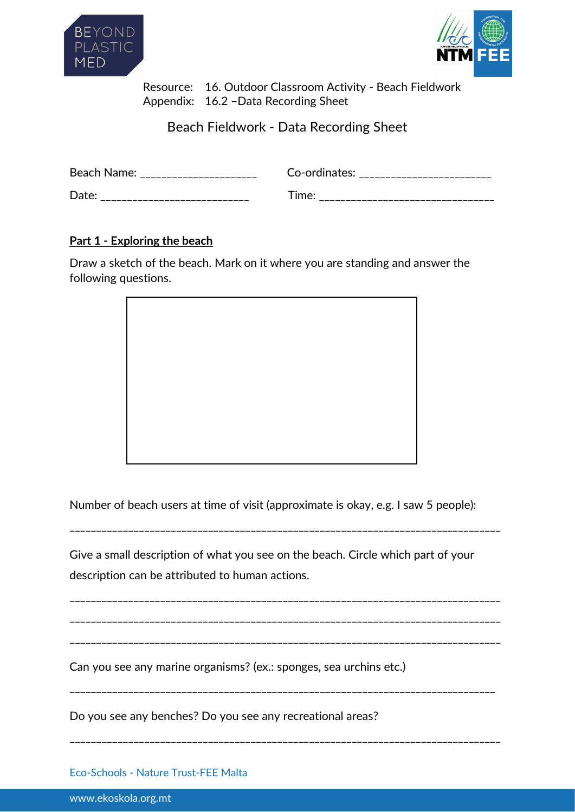



 Resource: 16. Outdoor Classroom Activity - Beach Fieldwork Appendix: 16.2 –Data Recording Sheet

Beach Fieldwork - Data Recording Sheet

| Beach Name: | Co-ordinates: |
|-------------|---------------|
| Date.       | ⊤ime∙         |

## **Part 1 - Exploring the beach**

Draw a sketch of the beach. Mark on it where you are standing and answer the following questions.



Number of beach users at time of visit (approximate is okay, e.g. I saw 5 people):

\_\_\_\_\_\_\_\_\_\_\_\_\_\_\_\_\_\_\_\_\_\_\_\_\_\_\_\_\_\_\_\_\_\_\_\_\_\_\_\_\_\_\_\_\_\_\_\_\_\_\_\_\_\_\_\_\_\_\_\_\_\_\_\_\_\_\_\_\_\_\_\_\_\_\_\_\_\_\_\_\_

\_\_\_\_\_\_\_\_\_\_\_\_\_\_\_\_\_\_\_\_\_\_\_\_\_\_\_\_\_\_\_\_\_\_\_\_\_\_\_\_\_\_\_\_\_\_\_\_\_\_\_\_\_\_\_\_\_\_\_\_\_\_\_\_\_\_\_\_\_\_\_\_\_\_\_\_\_\_\_\_\_

\_\_\_\_\_\_\_\_\_\_\_\_\_\_\_\_\_\_\_\_\_\_\_\_\_\_\_\_\_\_\_\_\_\_\_\_\_\_\_\_\_\_\_\_\_\_\_\_\_\_\_\_\_\_\_\_\_\_\_\_\_\_\_\_\_\_\_\_\_\_\_\_\_\_\_\_\_\_\_\_\_

\_\_\_\_\_\_\_\_\_\_\_\_\_\_\_\_\_\_\_\_\_\_\_\_\_\_\_\_\_\_\_\_\_\_\_\_\_\_\_\_\_\_\_\_\_\_\_\_\_\_\_\_\_\_\_\_\_\_\_\_\_\_\_\_\_\_\_\_\_\_\_\_\_\_\_\_\_\_\_\_\_

\_\_\_\_\_\_\_\_\_\_\_\_\_\_\_\_\_\_\_\_\_\_\_\_\_\_\_\_\_\_\_\_\_\_\_\_\_\_\_\_\_\_\_\_\_\_\_\_\_\_\_\_\_\_\_\_\_\_\_\_\_\_\_\_\_\_\_\_\_\_\_\_\_\_\_\_\_\_\_\_

\_\_\_\_\_\_\_\_\_\_\_\_\_\_\_\_\_\_\_\_\_\_\_\_\_\_\_\_\_\_\_\_\_\_\_\_\_\_\_\_\_\_\_\_\_\_\_\_\_\_\_\_\_\_\_\_\_\_\_\_\_\_\_\_\_\_\_\_\_\_\_\_\_\_\_\_\_\_\_\_\_

Give a small description of what you see on the beach. Circle which part of your description can be attributed to human actions.

Can you see any marine organisms? (ex.: sponges, sea urchins etc.)

Do you see any benches? Do you see any recreational areas?

Eco-Schools - Nature Trust-FEE Malta

www.ekoskola.org.mt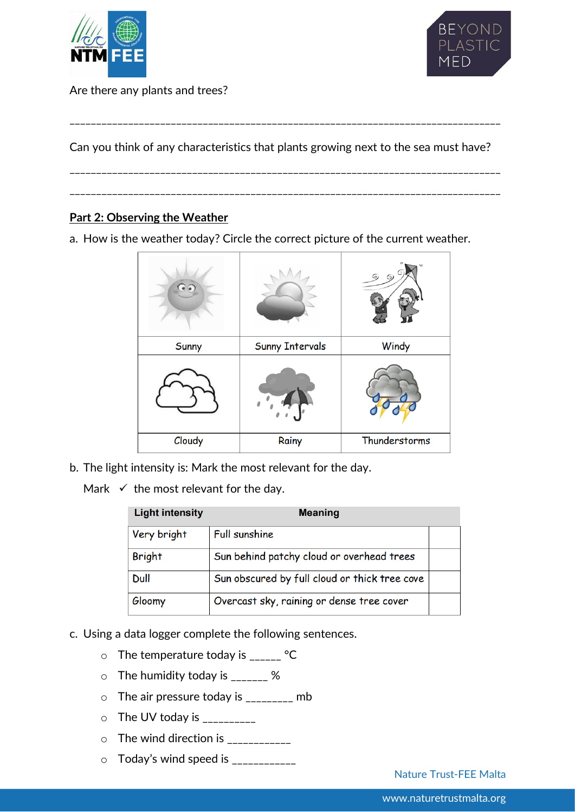



Are there any plants and trees?

Can you think of any characteristics that plants growing next to the sea must have?

\_\_\_\_\_\_\_\_\_\_\_\_\_\_\_\_\_\_\_\_\_\_\_\_\_\_\_\_\_\_\_\_\_\_\_\_\_\_\_\_\_\_\_\_\_\_\_\_\_\_\_\_\_\_\_\_\_\_\_\_\_\_\_\_\_\_\_\_\_\_\_\_\_\_\_\_\_\_\_\_\_

 $\mathcal{L}_\text{max}$ 

\_\_\_\_\_\_\_\_\_\_\_\_\_\_\_\_\_\_\_\_\_\_\_\_\_\_\_\_\_\_\_\_\_\_\_\_\_\_\_\_\_\_\_\_\_\_\_\_\_\_\_\_\_\_\_\_\_\_\_\_\_\_\_\_\_\_\_\_\_\_\_\_\_\_\_\_\_\_\_\_\_

**Part 2: Observing the Weather** 

a. How is the weather today? Circle the correct picture of the current weather.

| $\odot$ |                        | $\lambda$<br>Θ)<br>6) |
|---------|------------------------|-----------------------|
| Sunny   | <b>Sunny Intervals</b> | Windy                 |
|         |                        |                       |
| Cloudy  | Rainy                  | Thunderstorms         |

b. The light intensity is: Mark the most relevant for the day.

Mark  $\checkmark$  the most relevant for the day.

| <b>Light intensity</b> | <b>Meaning</b>                                |  |
|------------------------|-----------------------------------------------|--|
| Very bright            | <b>Full sunshine</b>                          |  |
| <b>Bright</b>          | Sun behind patchy cloud or overhead trees     |  |
| Dull                   | Sun obscured by full cloud or thick tree cove |  |
| Gloomy                 | Overcast sky, raining or dense tree cover     |  |

- c. Using a data logger complete the following sentences.
	- $\circ$  The temperature today is \_\_\_\_\_ °C
	- $\circ$  The humidity today is \_\_\_\_\_\_\_ %
	- $\circ$  The air pressure today is \_\_\_\_\_\_\_\_ mb
	- $\circ$  The UV today is \_\_\_\_\_\_\_\_\_\_
	- $\circ$  The wind direction is \_\_\_\_\_\_\_\_\_\_\_\_\_
	- o Today's wind speed is \_\_\_\_\_\_\_\_\_\_\_\_

Nature Trust-FEE Malta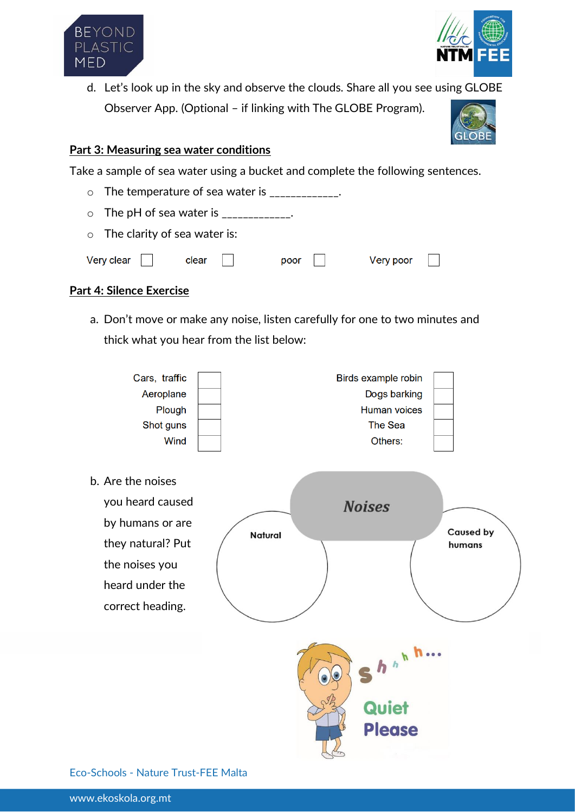



d. Let's look up in the sky and observe the clouds. Share all you see using GLOBE Observer App. (Optional – if linking with The GLOBE Program).



## **Part 3: Measuring sea water conditions**

Take a sample of sea water using a bucket and complete the following sentences.

 $\circ$  The temperature of sea water is  $\frac{1}{2}$  $\circ$  The pH of sea water is \_\_\_\_\_\_\_\_\_\_\_. o The clarity of sea water is:

| Very clear | clear | poor | Very poor |
|------------|-------|------|-----------|

## **Part 4: Silence Exercise**

a. Don't move or make any noise, listen carefully for one to two minutes and thick what you hear from the list below:



Eco-Schools - Nature Trust-FEE Malta